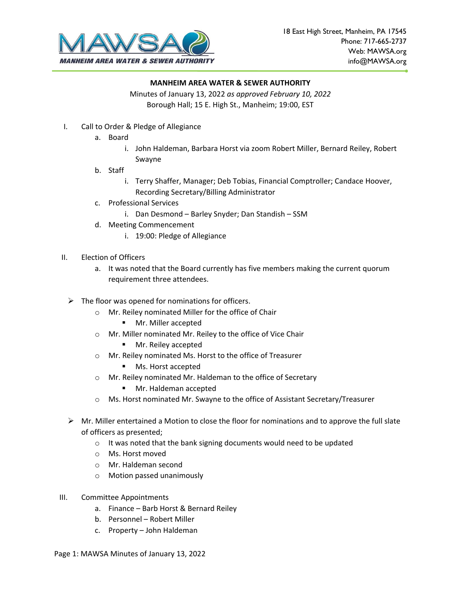

Minutes of January 13, 2022 *as approved February 10, 2022* Borough Hall; 15 E. High St., Manheim; 19:00, EST

- I. Call to Order & Pledge of Allegiance
	- a. Board
		- i. John Haldeman, Barbara Horst via zoom Robert Miller, Bernard Reiley, Robert Swayne
	- b. Staff
		- i. Terry Shaffer, Manager; Deb Tobias, Financial Comptroller; Candace Hoover, Recording Secretary/Billing Administrator
	- c. Professional Services
		- i. Dan Desmond Barley Snyder; Dan Standish SSM
	- d. Meeting Commencement
		- i. 19:00: Pledge of Allegiance
- II. Election of Officers
	- a. It was noted that the Board currently has five members making the current quorum requirement three attendees.
	- $\triangleright$  The floor was opened for nominations for officers.
		- o Mr. Reiley nominated Miller for the office of Chair
			- Mr. Miller accepted
		- o Mr. Miller nominated Mr. Reiley to the office of Vice Chair
			- Mr. Reiley accepted
		- o Mr. Reiley nominated Ms. Horst to the office of Treasurer
			- Ms. Horst accepted
		- o Mr. Reiley nominated Mr. Haldeman to the office of Secretary
			- Mr. Haldeman accepted
		- o Ms. Horst nominated Mr. Swayne to the office of Assistant Secretary/Treasurer
	- $\triangleright$  Mr. Miller entertained a Motion to close the floor for nominations and to approve the full slate of officers as presented;
		- o It was noted that the bank signing documents would need to be updated
		- o Ms. Horst moved
		- o Mr. Haldeman second
		- o Motion passed unanimously
- III. Committee Appointments
	- a. Finance Barb Horst & Bernard Reiley
	- b. Personnel Robert Miller
	- c. Property John Haldeman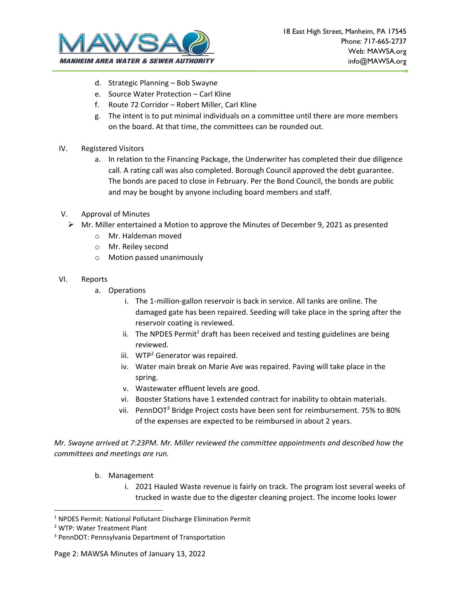

- d. Strategic Planning Bob Swayne
- e. Source Water Protection Carl Kline
- f. Route 72 Corridor Robert Miller, Carl Kline
- g. The intent is to put minimal individuals on a committee until there are more members on the board. At that time, the committees can be rounded out.
- IV. Registered Visitors
	- a. In relation to the Financing Package, the Underwriter has completed their due diligence call. A rating call was also completed. Borough Council approved the debt guarantee. The bonds are paced to close in February. Per the Bond Council, the bonds are public and may be bought by anyone including board members and staff.
- V. Approval of Minutes
	- $\triangleright$  Mr. Miller entertained a Motion to approve the Minutes of December 9, 2021 as presented
		- o Mr. Haldeman moved
		- o Mr. Reiley second
		- o Motion passed unanimously
- VI. Reports
	- a. Operations
		- i. The 1-million-gallon reservoir is back in service. All tanks are online. The damaged gate has been repaired. Seeding will take place in the spring after the reservoir coating is reviewed.
		- ii. The NPDES Permit<sup>1</sup> draft has been received and testing guidelines are being reviewed.
		- iii.  $WTP<sup>2</sup>$  Generator was repaired.
		- iv. Water main break on Marie Ave was repaired. Paving will take place in the spring.
		- v. Wastewater effluent levels are good.
		- vi. Booster Stations have 1 extended contract for inability to obtain materials.
		- vii. PennDOT<sup>3</sup> Bridge Project costs have been sent for reimbursement. 75% to 80% of the expenses are expected to be reimbursed in about 2 years.

*Mr. Swayne arrived at 7:23PM. Mr. Miller reviewed the committee appointments and described how the committees and meetings are run.*

- b. Management
	- i. 2021 Hauled Waste revenue is fairly on track. The program lost several weeks of trucked in waste due to the digester cleaning project. The income looks lower

<sup>1</sup> NPDES Permit: National Pollutant Discharge Elimination Permit

<sup>2</sup> WTP: Water Treatment Plant

<sup>3</sup> PennDOT: Pennsylvania Department of Transportation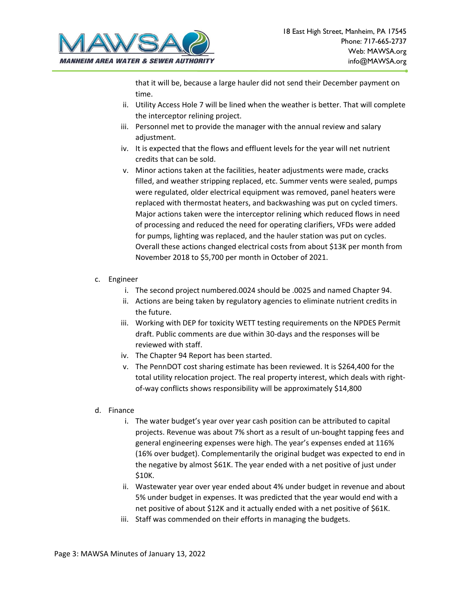

that it will be, because a large hauler did not send their December payment on time.

- ii. Utility Access Hole 7 will be lined when the weather is better. That will complete the interceptor relining project.
- iii. Personnel met to provide the manager with the annual review and salary adjustment.
- iv. It is expected that the flows and effluent levels for the year will net nutrient credits that can be sold.
- v. Minor actions taken at the facilities, heater adjustments were made, cracks filled, and weather stripping replaced, etc. Summer vents were sealed, pumps were regulated, older electrical equipment was removed, panel heaters were replaced with thermostat heaters, and backwashing was put on cycled timers. Major actions taken were the interceptor relining which reduced flows in need of processing and reduced the need for operating clarifiers, VFDs were added for pumps, lighting was replaced, and the hauler station was put on cycles. Overall these actions changed electrical costs from about \$13K per month from November 2018 to \$5,700 per month in October of 2021.
- c. Engineer
	- i. The second project numbered.0024 should be .0025 and named Chapter 94.
	- ii. Actions are being taken by regulatory agencies to eliminate nutrient credits in the future.
	- iii. Working with DEP for toxicity WETT testing requirements on the NPDES Permit draft. Public comments are due within 30-days and the responses will be reviewed with staff.
	- iv. The Chapter 94 Report has been started.
	- v. The PennDOT cost sharing estimate has been reviewed. It is \$264,400 for the total utility relocation project. The real property interest, which deals with rightof-way conflicts shows responsibility will be approximately \$14,800
- d. Finance
	- i. The water budget's year over year cash position can be attributed to capital projects. Revenue was about 7% short as a result of un-bought tapping fees and general engineering expenses were high. The year's expenses ended at 116% (16% over budget). Complementarily the original budget was expected to end in the negative by almost \$61K. The year ended with a net positive of just under \$10K.
	- ii. Wastewater year over year ended about 4% under budget in revenue and about 5% under budget in expenses. It was predicted that the year would end with a net positive of about \$12K and it actually ended with a net positive of \$61K.
	- iii. Staff was commended on their efforts in managing the budgets.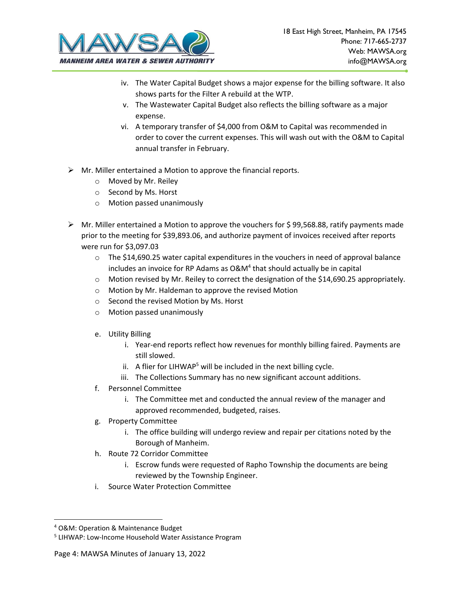

- iv. The Water Capital Budget shows a major expense for the billing software. It also shows parts for the Filter A rebuild at the WTP.
- v. The Wastewater Capital Budget also reflects the billing software as a major expense.
- vi. A temporary transfer of \$4,000 from O&M to Capital was recommended in order to cover the current expenses. This will wash out with the O&M to Capital annual transfer in February.
- $\triangleright$  Mr. Miller entertained a Motion to approve the financial reports.
	- o Moved by Mr. Reiley
	- o Second by Ms. Horst
	- o Motion passed unanimously
- $\triangleright$  Mr. Miller entertained a Motion to approve the vouchers for \$99,568.88, ratify payments made prior to the meeting for \$39,893.06, and authorize payment of invoices received after reports were run for \$3,097.03
	- $\circ$  The \$14,690.25 water capital expenditures in the vouchers in need of approval balance includes an invoice for RP Adams as  $O&M^4$  that should actually be in capital
	- $\circ$  Motion revised by Mr. Reiley to correct the designation of the \$14,690.25 appropriately.
	- o Motion by Mr. Haldeman to approve the revised Motion
	- o Second the revised Motion by Ms. Horst
	- o Motion passed unanimously
	- e. Utility Billing
		- i. Year-end reports reflect how revenues for monthly billing faired. Payments are still slowed.
		- ii. A flier for LIHWAP<sup>5</sup> will be included in the next billing cycle.
		- iii. The Collections Summary has no new significant account additions.
	- f. Personnel Committee
		- i. The Committee met and conducted the annual review of the manager and approved recommended, budgeted, raises.
	- g. Property Committee
		- i. The office building will undergo review and repair per citations noted by the Borough of Manheim.
	- h. Route 72 Corridor Committee
		- i. Escrow funds were requested of Rapho Township the documents are being reviewed by the Township Engineer.
	- i. Source Water Protection Committee

<sup>4</sup> O&M: Operation & Maintenance Budget

<sup>&</sup>lt;sup>5</sup> LIHWAP: Low-Income Household Water Assistance Program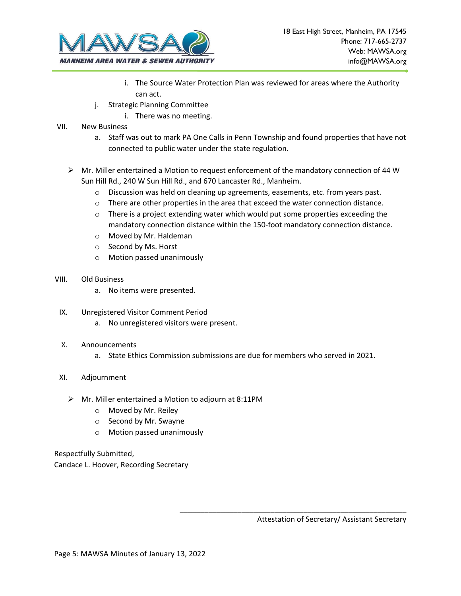

- i. The Source Water Protection Plan was reviewed for areas where the Authority can act.
- j. Strategic Planning Committee
	- i. There was no meeting.
- VII. New Business
	- a. Staff was out to mark PA One Calls in Penn Township and found properties that have not connected to public water under the state regulation.
	- $\triangleright$  Mr. Miller entertained a Motion to request enforcement of the mandatory connection of 44 W Sun Hill Rd., 240 W Sun Hill Rd., and 670 Lancaster Rd., Manheim.
		- $\circ$  Discussion was held on cleaning up agreements, easements, etc. from years past.
		- $\circ$  There are other properties in the area that exceed the water connection distance.
		- $\circ$  There is a project extending water which would put some properties exceeding the mandatory connection distance within the 150-foot mandatory connection distance.
		- o Moved by Mr. Haldeman
		- o Second by Ms. Horst
		- o Motion passed unanimously
- VIII. Old Business
	- a. No items were presented.
- IX. Unregistered Visitor Comment Period
	- a. No unregistered visitors were present.
- X. Announcements
	- a. State Ethics Commission submissions are due for members who served in 2021.
- XI. Adjournment
	- ➢ Mr. Miller entertained a Motion to adjourn at 8:11PM
		- o Moved by Mr. Reiley
		- o Second by Mr. Swayne
		- o Motion passed unanimously

Respectfully Submitted, Candace L. Hoover, Recording Secretary

Attestation of Secretary/ Assistant Secretary

\_\_\_\_\_\_\_\_\_\_\_\_\_\_\_\_\_\_\_\_\_\_\_\_\_\_\_\_\_\_\_\_\_\_\_\_\_\_\_\_\_\_\_\_\_\_\_\_\_\_\_\_\_\_\_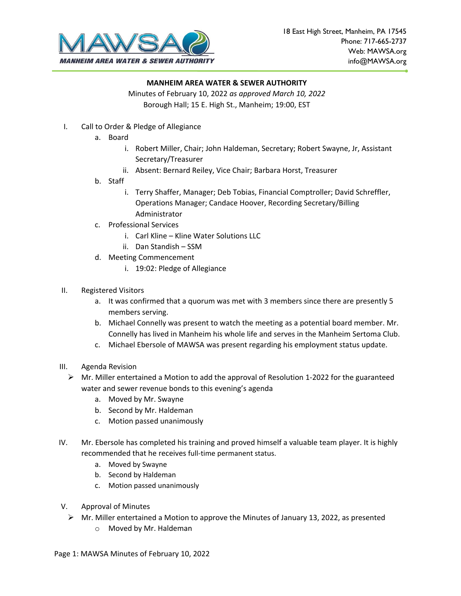

Minutes of February 10, 2022 *as approved March 10, 2022* Borough Hall; 15 E. High St., Manheim; 19:00, EST

- I. Call to Order & Pledge of Allegiance
	- a. Board
		- i. Robert Miller, Chair; John Haldeman, Secretary; Robert Swayne, Jr, Assistant Secretary/Treasurer
		- ii. Absent: Bernard Reiley, Vice Chair; Barbara Horst, Treasurer
	- b. Staff
		- i. Terry Shaffer, Manager; Deb Tobias, Financial Comptroller; David Schreffler, Operations Manager; Candace Hoover, Recording Secretary/Billing Administrator
	- c. Professional Services
		- i. Carl Kline Kline Water Solutions LLC
		- ii. Dan Standish SSM
	- d. Meeting Commencement
		- i. 19:02: Pledge of Allegiance
- II. Registered Visitors
	- a. It was confirmed that a quorum was met with 3 members since there are presently 5 members serving.
	- b. Michael Connelly was present to watch the meeting as a potential board member. Mr. Connelly has lived in Manheim his whole life and serves in the Manheim Sertoma Club.
	- c. Michael Ebersole of MAWSA was present regarding his employment status update.
- III. Agenda Revision
	- $\triangleright$  Mr. Miller entertained a Motion to add the approval of Resolution 1-2022 for the guaranteed water and sewer revenue bonds to this evening's agenda
		- a. Moved by Mr. Swayne
		- b. Second by Mr. Haldeman
		- c. Motion passed unanimously
- IV. Mr. Ebersole has completed his training and proved himself a valuable team player. It is highly recommended that he receives full-time permanent status.
	- a. Moved by Swayne
	- b. Second by Haldeman
	- c. Motion passed unanimously
- V. Approval of Minutes
	- $\triangleright$  Mr. Miller entertained a Motion to approve the Minutes of January 13, 2022, as presented
		- o Moved by Mr. Haldeman

Page 1: MAWSA Minutes of February 10, 2022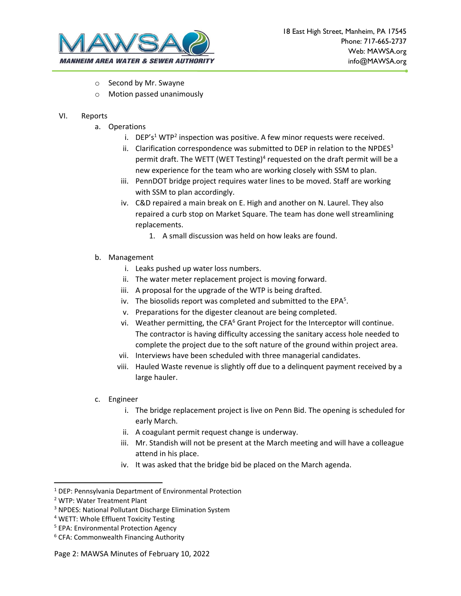

- o Second by Mr. Swayne
- o Motion passed unanimously
- VI. Reports
	- a. Operations
		- i. DEP's<sup>1</sup> WTP<sup>2</sup> inspection was positive. A few minor requests were received.
		- ii. Clarification correspondence was submitted to DEP in relation to the NPDES $3$ permit draft. The WETT (WET Testing)<sup>4</sup> requested on the draft permit will be a new experience for the team who are working closely with SSM to plan.
		- iii. PennDOT bridge project requires water lines to be moved. Staff are working with SSM to plan accordingly.
		- iv. C&D repaired a main break on E. High and another on N. Laurel. They also repaired a curb stop on Market Square. The team has done well streamlining replacements.
			- 1. A small discussion was held on how leaks are found.
	- b. Management
		- i. Leaks pushed up water loss numbers.
		- ii. The water meter replacement project is moving forward.
		- iii. A proposal for the upgrade of the WTP is being drafted.
		- iv. The biosolids report was completed and submitted to the EPA<sup>5</sup>.
		- v. Preparations for the digester cleanout are being completed.
		- vi. Weather permitting, the CFA $<sup>6</sup>$  Grant Project for the Interceptor will continue.</sup> The contractor is having difficulty accessing the sanitary access hole needed to complete the project due to the soft nature of the ground within project area.
		- vii. Interviews have been scheduled with three managerial candidates.
		- viii. Hauled Waste revenue is slightly off due to a delinquent payment received by a large hauler.
	- c. Engineer
		- i. The bridge replacement project is live on Penn Bid. The opening is scheduled for early March.
		- ii. A coagulant permit request change is underway.
		- iii. Mr. Standish will not be present at the March meeting and will have a colleague attend in his place.
		- iv. It was asked that the bridge bid be placed on the March agenda.

Page 2: MAWSA Minutes of February 10, 2022

<sup>1</sup> DEP: Pennsylvania Department of Environmental Protection

<sup>2</sup> WTP: Water Treatment Plant

<sup>3</sup> NPDES: National Pollutant Discharge Elimination System

<sup>4</sup> WETT: Whole Effluent Toxicity Testing

<sup>5</sup> EPA: Environmental Protection Agency

<sup>6</sup> CFA: Commonwealth Financing Authority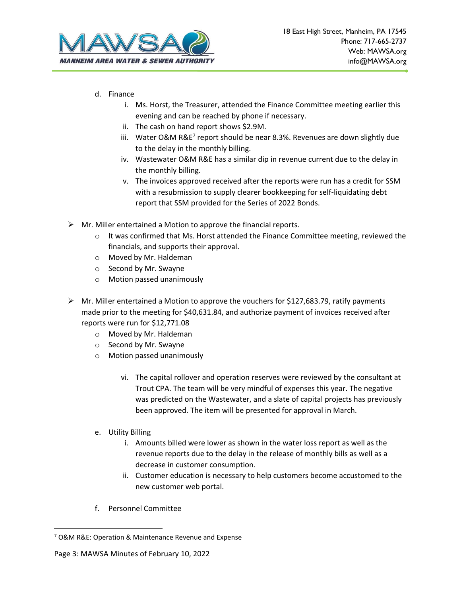

- d. Finance
	- i. Ms. Horst, the Treasurer, attended the Finance Committee meeting earlier this evening and can be reached by phone if necessary.
	- ii. The cash on hand report shows \$2.9M.
	- iii. Water O&M R&E<sup>7</sup> report should be near 8.3%. Revenues are down slightly due to the delay in the monthly billing.
	- iv. Wastewater O&M R&E has a similar dip in revenue current due to the delay in the monthly billing.
	- v. The invoices approved received after the reports were run has a credit for SSM with a resubmission to supply clearer bookkeeping for self-liquidating debt report that SSM provided for the Series of 2022 Bonds.
- $\triangleright$  Mr. Miller entertained a Motion to approve the financial reports.
	- $\circ$  It was confirmed that Ms. Horst attended the Finance Committee meeting, reviewed the financials, and supports their approval.
	- o Moved by Mr. Haldeman
	- o Second by Mr. Swayne
	- o Motion passed unanimously
- $\triangleright$  Mr. Miller entertained a Motion to approve the vouchers for \$127,683.79, ratify payments made prior to the meeting for \$40,631.84, and authorize payment of invoices received after reports were run for \$12,771.08
	- o Moved by Mr. Haldeman
	- o Second by Mr. Swayne
	- o Motion passed unanimously
		- vi. The capital rollover and operation reserves were reviewed by the consultant at Trout CPA. The team will be very mindful of expenses this year. The negative was predicted on the Wastewater, and a slate of capital projects has previously been approved. The item will be presented for approval in March.
	- e. Utility Billing
		- i. Amounts billed were lower as shown in the water loss report as well as the revenue reports due to the delay in the release of monthly bills as well as a decrease in customer consumption.
		- ii. Customer education is necessary to help customers become accustomed to the new customer web portal.
	- f. Personnel Committee

<sup>7</sup> O&M R&E: Operation & Maintenance Revenue and Expense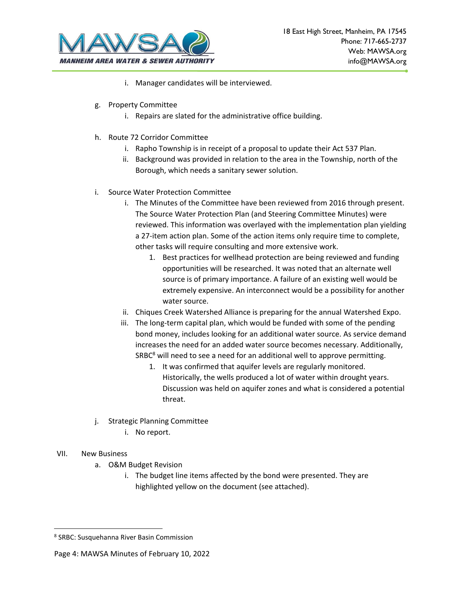

- i. Manager candidates will be interviewed.
- g. Property Committee
	- i. Repairs are slated for the administrative office building.
- h. Route 72 Corridor Committee
	- i. Rapho Township is in receipt of a proposal to update their Act 537 Plan.
	- ii. Background was provided in relation to the area in the Township, north of the Borough, which needs a sanitary sewer solution.
- i. Source Water Protection Committee
	- i. The Minutes of the Committee have been reviewed from 2016 through present. The Source Water Protection Plan (and Steering Committee Minutes) were reviewed. This information was overlayed with the implementation plan yielding a 27-item action plan. Some of the action items only require time to complete, other tasks will require consulting and more extensive work.
		- 1. Best practices for wellhead protection are being reviewed and funding opportunities will be researched. It was noted that an alternate well source is of primary importance. A failure of an existing well would be extremely expensive. An interconnect would be a possibility for another water source.
	- ii. Chiques Creek Watershed Alliance is preparing for the annual Watershed Expo.
	- iii. The long-term capital plan, which would be funded with some of the pending bond money, includes looking for an additional water source. As service demand increases the need for an added water source becomes necessary. Additionally,  $SABC<sup>8</sup>$  will need to see a need for an additional well to approve permitting.
		- 1. It was confirmed that aquifer levels are regularly monitored. Historically, the wells produced a lot of water within drought years. Discussion was held on aquifer zones and what is considered a potential threat.
- j. Strategic Planning Committee
	- i. No report.

## VII. New Business

- a. O&M Budget Revision
	- i. The budget line items affected by the bond were presented. They are highlighted yellow on the document (see attached).

<sup>8</sup> SRBC: Susquehanna River Basin Commission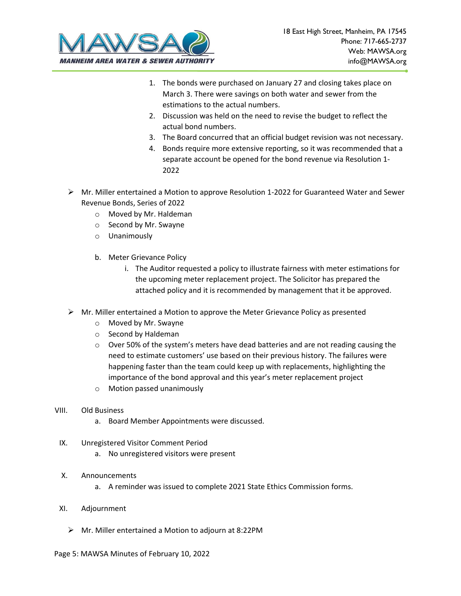

- 1. The bonds were purchased on January 27 and closing takes place on March 3. There were savings on both water and sewer from the estimations to the actual numbers.
- 2. Discussion was held on the need to revise the budget to reflect the actual bond numbers.
- 3. The Board concurred that an official budget revision was not necessary.
- 4. Bonds require more extensive reporting, so it was recommended that a separate account be opened for the bond revenue via Resolution 1- 2022
- $\triangleright$  Mr. Miller entertained a Motion to approve Resolution 1-2022 for Guaranteed Water and Sewer Revenue Bonds, Series of 2022
	- o Moved by Mr. Haldeman
	- o Second by Mr. Swayne
	- o Unanimously
	- b. Meter Grievance Policy
		- i. The Auditor requested a policy to illustrate fairness with meter estimations for the upcoming meter replacement project. The Solicitor has prepared the attached policy and it is recommended by management that it be approved.
- $\triangleright$  Mr. Miller entertained a Motion to approve the Meter Grievance Policy as presented
	- o Moved by Mr. Swayne
	- o Second by Haldeman
	- $\circ$  Over 50% of the system's meters have dead batteries and are not reading causing the need to estimate customers' use based on their previous history. The failures were happening faster than the team could keep up with replacements, highlighting the importance of the bond approval and this year's meter replacement project
	- o Motion passed unanimously
- VIII. Old Business
	- a. Board Member Appointments were discussed.
- IX. Unregistered Visitor Comment Period
	- a. No unregistered visitors were present
- X. Announcements
	- a. A reminder was issued to complete 2021 State Ethics Commission forms.
- XI. Adjournment
	- ➢ Mr. Miller entertained a Motion to adjourn at 8:22PM

#### Page 5: MAWSA Minutes of February 10, 2022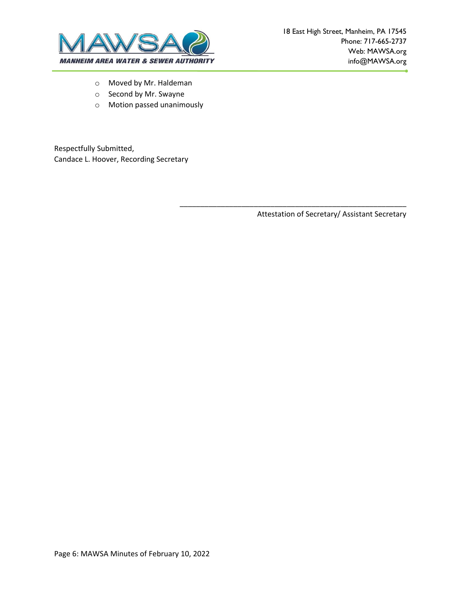

- o Moved by Mr. Haldeman
- o Second by Mr. Swayne
- o Motion passed unanimously

Respectfully Submitted, Candace L. Hoover, Recording Secretary

Attestation of Secretary/ Assistant Secretary

\_\_\_\_\_\_\_\_\_\_\_\_\_\_\_\_\_\_\_\_\_\_\_\_\_\_\_\_\_\_\_\_\_\_\_\_\_\_\_\_\_\_\_\_\_\_\_\_\_\_\_\_\_\_\_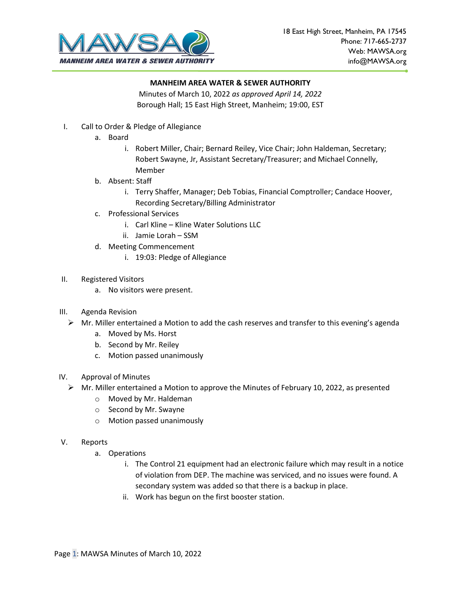

Minutes of March 10, 2022 *as approved April 14, 2022* Borough Hall; 15 East High Street, Manheim; 19:00, EST

- I. Call to Order & Pledge of Allegiance
	- a. Board
		- i. Robert Miller, Chair; Bernard Reiley, Vice Chair; John Haldeman, Secretary; Robert Swayne, Jr, Assistant Secretary/Treasurer; and Michael Connelly, Member
	- b. Absent: Staff
		- i. Terry Shaffer, Manager; Deb Tobias, Financial Comptroller; Candace Hoover, Recording Secretary/Billing Administrator
	- c. Professional Services
		- i. Carl Kline Kline Water Solutions LLC
		- ii. Jamie Lorah SSM
	- d. Meeting Commencement
		- i. 19:03: Pledge of Allegiance
- II. Registered Visitors
	- a. No visitors were present.
- III. Agenda Revision
	- $\triangleright$  Mr. Miller entertained a Motion to add the cash reserves and transfer to this evening's agenda
		- a. Moved by Ms. Horst
		- b. Second by Mr. Reiley
		- c. Motion passed unanimously
- IV. Approval of Minutes
	- $\triangleright$  Mr. Miller entertained a Motion to approve the Minutes of February 10, 2022, as presented
		- o Moved by Mr. Haldeman
		- o Second by Mr. Swayne
		- o Motion passed unanimously
- V. Reports
	- a. Operations
		- i. The Control 21 equipment had an electronic failure which may result in a notice of violation from DEP. The machine was serviced, and no issues were found. A secondary system was added so that there is a backup in place.
		- ii. Work has begun on the first booster station.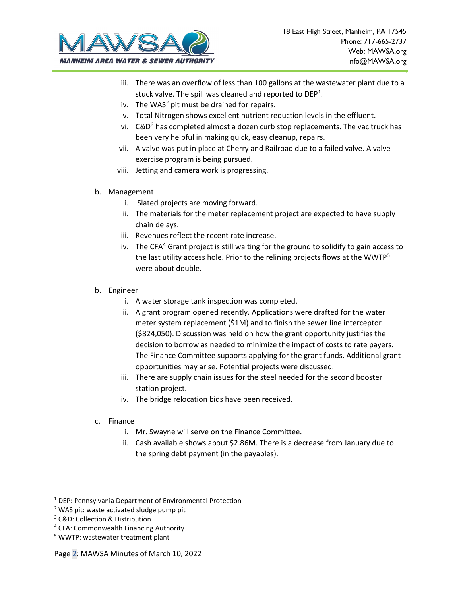

- iii. There was an overflow of less than 100 gallons at the wastewater plant due to a stuck valve. The spill was cleaned and reported to  $DEF<sup>1</sup>$  $DEF<sup>1</sup>$  $DEF<sup>1</sup>$ .
- iv. The WAS<sup>[2](#page-12-1)</sup> pit must be drained for repairs.
- v. Total Nitrogen shows excellent nutrient reduction levels in the effluent.
- vi.  $C&D^3$  $C&D^3$  has completed almost a dozen curb stop replacements. The vac truck has been very helpful in making quick, easy cleanup, repairs.
- vii. A valve was put in place at Cherry and Railroad due to a failed valve. A valve exercise program is being pursued.
- viii. Jetting and camera work is progressing.
- b. Management
	- i. Slated projects are moving forward.
	- ii. The materials for the meter replacement project are expected to have supply chain delays.
	- iii. Revenues reflect the recent rate increase.
	- iv. The CFA<sup>[4](#page-12-3)</sup> Grant project is still waiting for the ground to solidify to gain access to the last utility access hole. Prior to the relining projects flows at the WWTP[5](#page-12-4) were about double.
- b. Engineer
	- i. A water storage tank inspection was completed.
	- ii. A grant program opened recently. Applications were drafted for the water meter system replacement (\$1M) and to finish the sewer line interceptor (\$824,050). Discussion was held on how the grant opportunity justifies the decision to borrow as needed to minimize the impact of costs to rate payers. The Finance Committee supports applying for the grant funds. Additional grant opportunities may arise. Potential projects were discussed.
	- iii. There are supply chain issues for the steel needed for the second booster station project.
	- iv. The bridge relocation bids have been received.
- c. Finance
	- i. Mr. Swayne will serve on the Finance Committee.
	- ii. Cash available shows about \$2.86M. There is a decrease from January due to the spring debt payment (in the payables).

<span id="page-12-0"></span><sup>&</sup>lt;sup>1</sup> DEP: Pennsylvania Department of Environmental Protection

<span id="page-12-1"></span><sup>2</sup> WAS pit: waste activated sludge pump pit

<span id="page-12-2"></span><sup>3</sup> C&D: Collection & Distribution

<span id="page-12-3"></span><sup>4</sup> CFA: Commonwealth Financing Authority

<span id="page-12-4"></span><sup>5</sup> WWTP: wastewater treatment plant

Page 2: MAWSA Minutes of March 10, 2022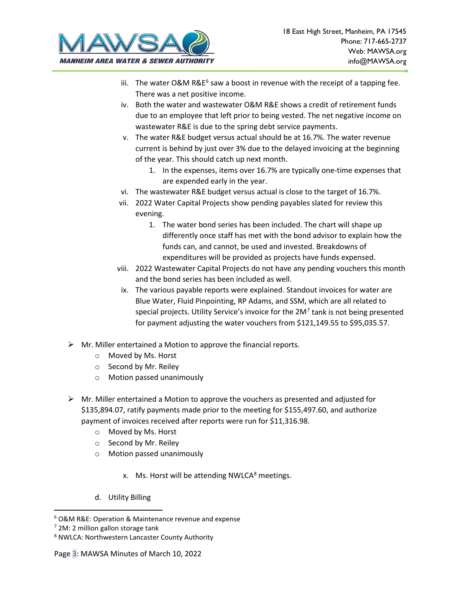

- iii. The water O&M R&E<sup>[6](#page-13-0)</sup> saw a boost in revenue with the receipt of a tapping fee. There was a net positive income.
- iv. Both the water and wastewater O&M R&E shows a credit of retirement funds due to an employee that left prior to being vested. The net negative income on wastewater R&E is due to the spring debt service payments.
- v. The water R&E budget versus actual should be at 16.7%. The water revenue current is behind by just over 3% due to the delayed invoicing at the beginning of the year. This should catch up next month.
	- 1. In the expenses, items over 16.7% are typically one-time expenses that are expended early in the year.
- vi. The wastewater R&E budget versus actual is close to the target of 16.7%.
- vii. 2022 Water Capital Projects show pending payables slated for review this evening.
	- 1. The water bond series has been included. The chart will shape up differently once staff has met with the bond advisor to explain how the funds can, and cannot, be used and invested. Breakdowns of expenditures will be provided as projects have funds expensed.
- viii. 2022 Wastewater Capital Projects do not have any pending vouchers this month and the bond series has been included as well.
- ix. The various payable reports were explained. Standout invoices for water are Blue Water, Fluid Pinpointing, RP Adams, and SSM, which are all related to special projects. Utility Service's invoice for the  $2M<sup>7</sup>$  $2M<sup>7</sup>$  $2M<sup>7</sup>$  tank is not being presented for payment adjusting the water vouchers from \$121,149.55 to \$95,035.57.
- $\triangleright$  Mr. Miller entertained a Motion to approve the financial reports.
	- o Moved by Ms. Horst
	- o Second by Mr. Reiley
	- o Motion passed unanimously
- $\triangleright$  Mr. Miller entertained a Motion to approve the vouchers as presented and adjusted for \$135,894.07, ratify payments made prior to the meeting for \$155,497.60, and authorize payment of invoices received after reports were run for \$11,316.98.
	- o Moved by Ms. Horst
	- o Second by Mr. Reiley
	- o Motion passed unanimously
		- x. Ms. Horst will be attending NWLCA $8$  meetings.
	- d. Utility Billing

<span id="page-13-0"></span><sup>6</sup> O&M R&E: Operation & Maintenance revenue and expense

<span id="page-13-1"></span> $<sup>7</sup>$  2M: 2 million gallon storage tank</sup>

<span id="page-13-2"></span><sup>8</sup> NWLCA: Northwestern Lancaster County Authority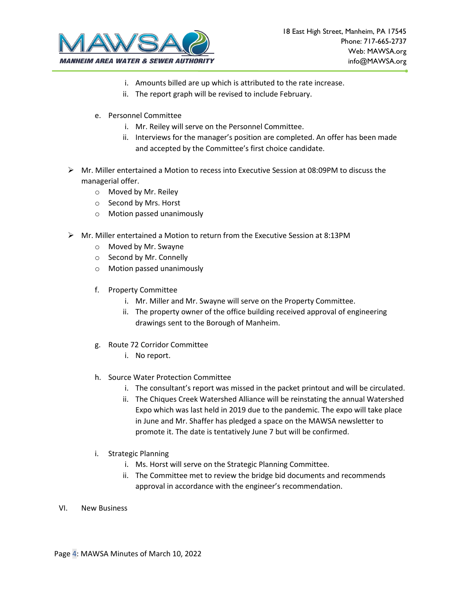

- i. Amounts billed are up which is attributed to the rate increase.
- ii. The report graph will be revised to include February.
- e. Personnel Committee
	- i. Mr. Reiley will serve on the Personnel Committee.
	- ii. Interviews for the manager's position are completed. An offer has been made and accepted by the Committee's first choice candidate.
- $\triangleright$  Mr. Miller entertained a Motion to recess into Executive Session at 08:09PM to discuss the managerial offer.
	- o Moved by Mr. Reiley
	- o Second by Mrs. Horst
	- o Motion passed unanimously
- $\triangleright$  Mr. Miller entertained a Motion to return from the Executive Session at 8:13PM
	- o Moved by Mr. Swayne
	- o Second by Mr. Connelly
	- o Motion passed unanimously
	- f. Property Committee
		- i. Mr. Miller and Mr. Swayne will serve on the Property Committee.
		- ii. The property owner of the office building received approval of engineering drawings sent to the Borough of Manheim.
	- g. Route 72 Corridor Committee
		- i. No report.
	- h. Source Water Protection Committee
		- i. The consultant's report was missed in the packet printout and will be circulated.
		- ii. The Chiques Creek Watershed Alliance will be reinstating the annual Watershed Expo which was last held in 2019 due to the pandemic. The expo will take place in June and Mr. Shaffer has pledged a space on the MAWSA newsletter to promote it. The date is tentatively June 7 but will be confirmed.
	- i. Strategic Planning
		- i. Ms. Horst will serve on the Strategic Planning Committee.
		- ii. The Committee met to review the bridge bid documents and recommends approval in accordance with the engineer's recommendation.
- VI. New Business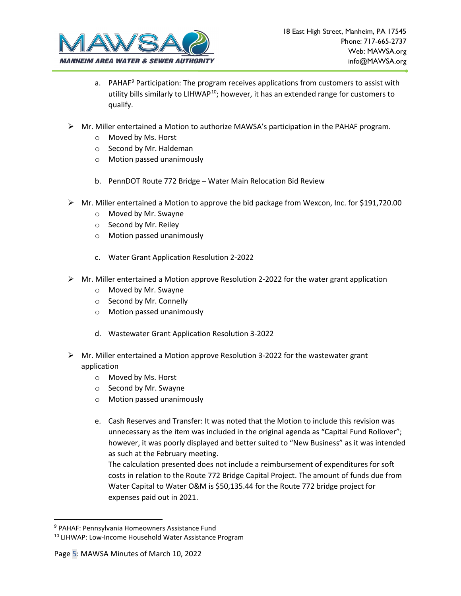

- a. PAHAF<sup>[9](#page-15-0)</sup> Participation: The program receives applications from customers to assist with utility bills similarly to LIHWAP $10$ ; however, it has an extended range for customers to qualify.
- $\triangleright$  Mr. Miller entertained a Motion to authorize MAWSA's participation in the PAHAF program.
	- o Moved by Ms. Horst
	- o Second by Mr. Haldeman
	- o Motion passed unanimously
	- b. PennDOT Route 772 Bridge Water Main Relocation Bid Review
- $\triangleright$  Mr. Miller entertained a Motion to approve the bid package from Wexcon, Inc. for \$191,720.00
	- o Moved by Mr. Swayne
	- o Second by Mr. Reiley
	- o Motion passed unanimously
	- c. Water Grant Application Resolution 2-2022
- $\triangleright$  Mr. Miller entertained a Motion approve Resolution 2-2022 for the water grant application
	- o Moved by Mr. Swayne
	- o Second by Mr. Connelly
	- o Motion passed unanimously
	- d. Wastewater Grant Application Resolution 3-2022
- $\triangleright$  Mr. Miller entertained a Motion approve Resolution 3-2022 for the wastewater grant application
	- o Moved by Ms. Horst
	- o Second by Mr. Swayne
	- o Motion passed unanimously
	- e. Cash Reserves and Transfer: It was noted that the Motion to include this revision was unnecessary as the item was included in the original agenda as "Capital Fund Rollover"; however, it was poorly displayed and better suited to "New Business" as it was intended as such at the February meeting.

The calculation presented does not include a reimbursement of expenditures for soft costs in relation to the Route 772 Bridge Capital Project. The amount of funds due from Water Capital to Water O&M is \$50,135.44 for the Route 772 bridge project for expenses paid out in 2021.

<span id="page-15-0"></span><sup>9</sup> PAHAF: Pennsylvania Homeowners Assistance Fund

<span id="page-15-1"></span><sup>&</sup>lt;sup>10</sup> LIHWAP: Low-Income Household Water Assistance Program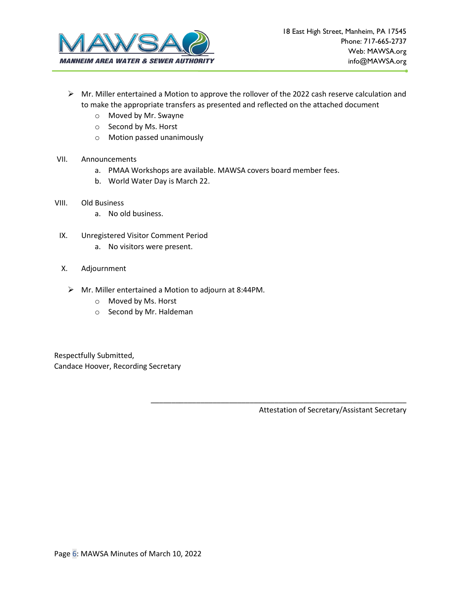

- $\triangleright$  Mr. Miller entertained a Motion to approve the rollover of the 2022 cash reserve calculation and to make the appropriate transfers as presented and reflected on the attached document
	- o Moved by Mr. Swayne
	- o Second by Ms. Horst
	- o Motion passed unanimously

## VII. Announcements

- a. PMAA Workshops are available. MAWSA covers board member fees.
- b. World Water Day is March 22.
- VIII. Old Business
	- a. No old business.
- IX. Unregistered Visitor Comment Period
	- a. No visitors were present.
- X. Adjournment
	- Mr. Miller entertained a Motion to adjourn at 8:44PM.
		- o Moved by Ms. Horst
		- o Second by Mr. Haldeman

Respectfully Submitted, Candace Hoover, Recording Secretary

Attestation of Secretary/Assistant Secretary

\_\_\_\_\_\_\_\_\_\_\_\_\_\_\_\_\_\_\_\_\_\_\_\_\_\_\_\_\_\_\_\_\_\_\_\_\_\_\_\_\_\_\_\_\_\_\_\_\_\_\_\_\_\_\_\_\_\_\_\_\_\_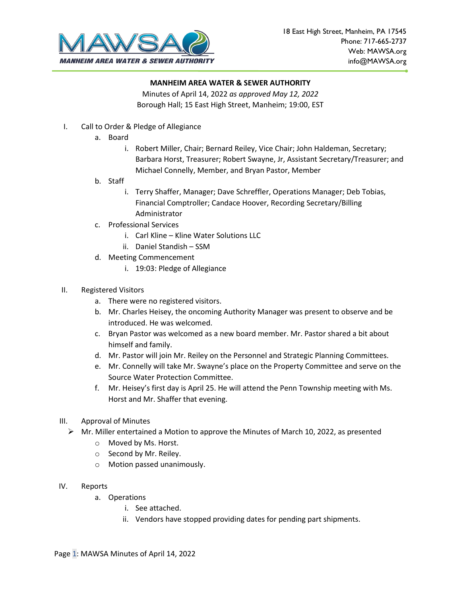

Minutes of April 14, 2022 *as approved May 12, 2022* Borough Hall; 15 East High Street, Manheim; 19:00, EST

- I. Call to Order & Pledge of Allegiance
	- a. Board
		- i. Robert Miller, Chair; Bernard Reiley, Vice Chair; John Haldeman, Secretary; Barbara Horst, Treasurer; Robert Swayne, Jr, Assistant Secretary/Treasurer; and Michael Connelly, Member, and Bryan Pastor, Member
	- b. Staff
		- i. Terry Shaffer, Manager; Dave Schreffler, Operations Manager; Deb Tobias, Financial Comptroller; Candace Hoover, Recording Secretary/Billing Administrator
	- c. Professional Services
		- i. Carl Kline Kline Water Solutions LLC
		- ii. Daniel Standish SSM
	- d. Meeting Commencement
		- i. 19:03: Pledge of Allegiance
- II. Registered Visitors
	- a. There were no registered visitors.
	- b. Mr. Charles Heisey, the oncoming Authority Manager was present to observe and be introduced. He was welcomed.
	- c. Bryan Pastor was welcomed as a new board member. Mr. Pastor shared a bit about himself and family.
	- d. Mr. Pastor will join Mr. Reiley on the Personnel and Strategic Planning Committees.
	- e. Mr. Connelly will take Mr. Swayne's place on the Property Committee and serve on the Source Water Protection Committee.
	- f. Mr. Heisey's first day is April 25. He will attend the Penn Township meeting with Ms. Horst and Mr. Shaffer that evening.
- III. Approval of Minutes
	- $\triangleright$  Mr. Miller entertained a Motion to approve the Minutes of March 10, 2022, as presented
		- o Moved by Ms. Horst.
		- o Second by Mr. Reiley.
		- o Motion passed unanimously.
- IV. Reports
	- a. Operations
		- i. See attached.
		- ii. Vendors have stopped providing dates for pending part shipments.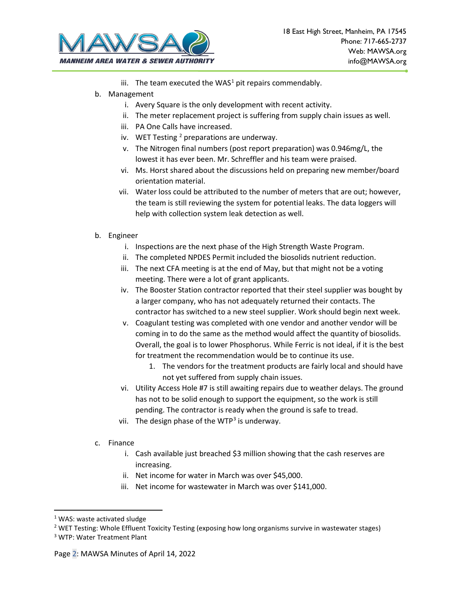

- iii. The team executed the WAS<sup>[1](#page-18-0)</sup> pit repairs commendably.
- b. Management
	- i. Avery Square is the only development with recent activity.
	- ii. The meter replacement project is suffering from supply chain issues as well.
	- iii. PA One Calls have increased.
	- iv. WET Testing  $2$  preparations are underway.
	- v. The Nitrogen final numbers (post report preparation) was 0.946mg/L, the lowest it has ever been. Mr. Schreffler and his team were praised.
	- vi. Ms. Horst shared about the discussions held on preparing new member/board orientation material.
	- vii. Water loss could be attributed to the number of meters that are out; however, the team is still reviewing the system for potential leaks. The data loggers will help with collection system leak detection as well.
- b. Engineer
	- i. Inspections are the next phase of the High Strength Waste Program.
	- ii. The completed NPDES Permit included the biosolids nutrient reduction.
	- iii. The next CFA meeting is at the end of May, but that might not be a voting meeting. There were a lot of grant applicants.
	- iv. The Booster Station contractor reported that their steel supplier was bought by a larger company, who has not adequately returned their contacts. The contractor has switched to a new steel supplier. Work should begin next week.
	- v. Coagulant testing was completed with one vendor and another vendor will be coming in to do the same as the method would affect the quantity of biosolids. Overall, the goal is to lower Phosphorus. While Ferric is not ideal, if it is the best for treatment the recommendation would be to continue its use.
		- 1. The vendors for the treatment products are fairly local and should have not yet suffered from supply chain issues.
	- vi. Utility Access Hole #7 is still awaiting repairs due to weather delays. The ground has not to be solid enough to support the equipment, so the work is still pending. The contractor is ready when the ground is safe to tread.
	- vii. The design phase of the WTP<sup>[3](#page-18-2)</sup> is underway.
- c. Finance
	- i. Cash available just breached \$3 million showing that the cash reserves are increasing.
	- ii. Net income for water in March was over \$45,000.
	- iii. Net income for wastewater in March was over \$141,000.

<span id="page-18-1"></span><span id="page-18-0"></span><sup>&</sup>lt;sup>1</sup> WAS: waste activated sludge<br><sup>2</sup> WET Testing: Whole Effluent Toxicity Testing (exposing how long organisms survive in wastewater stages)

<span id="page-18-2"></span><sup>3</sup> WTP: Water Treatment Plant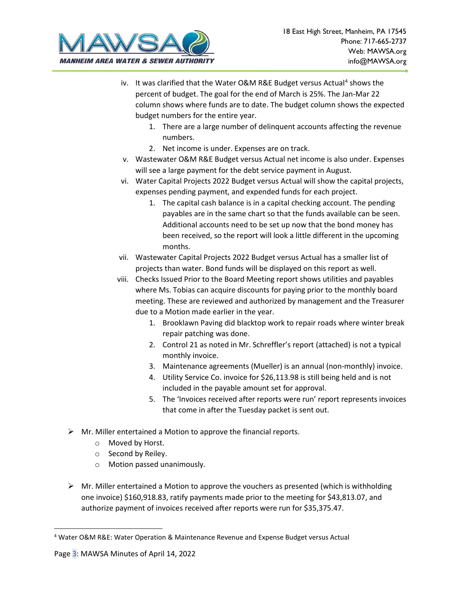

- iv. It was clarified that the Water O&M R&E Budget versus Actual<sup>[4](#page-19-0)</sup> shows the percent of budget. The goal for the end of March is 25%. The Jan-Mar 22 column shows where funds are to date. The budget column shows the expected budget numbers for the entire year.
	- 1. There are a large number of delinquent accounts affecting the revenue numbers.
	- 2. Net income is under. Expenses are on track.
- v. Wastewater O&M R&E Budget versus Actual net income is also under. Expenses will see a large payment for the debt service payment in August.
- vi. Water Capital Projects 2022 Budget versus Actual will show the capital projects, expenses pending payment, and expended funds for each project.
	- 1. The capital cash balance is in a capital checking account. The pending payables are in the same chart so that the funds available can be seen. Additional accounts need to be set up now that the bond money has been received, so the report will look a little different in the upcoming months.
- vii. Wastewater Capital Projects 2022 Budget versus Actual has a smaller list of projects than water. Bond funds will be displayed on this report as well.
- viii. Checks Issued Prior to the Board Meeting report shows utilities and payables where Ms. Tobias can acquire discounts for paying prior to the monthly board meeting. These are reviewed and authorized by management and the Treasurer due to a Motion made earlier in the year.
	- 1. Brooklawn Paving did blacktop work to repair roads where winter break repair patching was done.
	- 2. Control 21 as noted in Mr. Schreffler's report (attached) is not a typical monthly invoice.
	- 3. Maintenance agreements (Mueller) is an annual (non-monthly) invoice.
	- 4. Utility Service Co. invoice for \$26,113.98 is still being held and is not included in the payable amount set for approval.
	- 5. The 'Invoices received after reports were run' report represents invoices that come in after the Tuesday packet is sent out.
- $\triangleright$  Mr. Miller entertained a Motion to approve the financial reports.
	- o Moved by Horst.
	- o Second by Reiley.
	- o Motion passed unanimously.
- $\triangleright$  Mr. Miller entertained a Motion to approve the vouchers as presented (which is withholding one invoice) \$160,918.83, ratify payments made prior to the meeting for \$43,813.07, and authorize payment of invoices received after reports were run for \$35,375.47.

<span id="page-19-0"></span><sup>4</sup> Water O&M R&E: Water Operation & Maintenance Revenue and Expense Budget versus Actual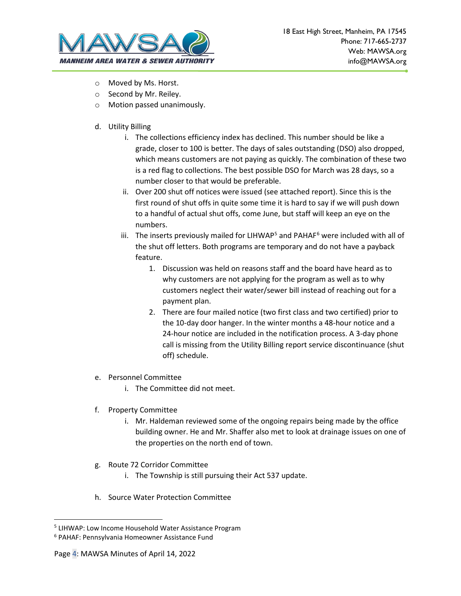

- o Moved by Ms. Horst.
- o Second by Mr. Reiley.
- o Motion passed unanimously.
- d. Utility Billing
	- i. The collections efficiency index has declined. This number should be like a grade, closer to 100 is better. The days of sales outstanding (DSO) also dropped, which means customers are not paying as quickly. The combination of these two is a red flag to collections. The best possible DSO for March was 28 days, so a number closer to that would be preferable.
	- ii. Over 200 shut off notices were issued (see attached report). Since this is the first round of shut offs in quite some time it is hard to say if we will push down to a handful of actual shut offs, come June, but staff will keep an eye on the numbers.
	- iii. The inserts previously mailed for LIHWAP<sup>[5](#page-20-0)</sup> and PAHAF $6$  were included with all of the shut off letters. Both programs are temporary and do not have a payback feature.
		- 1. Discussion was held on reasons staff and the board have heard as to why customers are not applying for the program as well as to why customers neglect their water/sewer bill instead of reaching out for a payment plan.
		- 2. There are four mailed notice (two first class and two certified) prior to the 10-day door hanger. In the winter months a 48-hour notice and a 24-hour notice are included in the notification process. A 3-day phone call is missing from the Utility Billing report service discontinuance (shut off) schedule.
- e. Personnel Committee
	- i. The Committee did not meet.
- f. Property Committee
	- i. Mr. Haldeman reviewed some of the ongoing repairs being made by the office building owner. He and Mr. Shaffer also met to look at drainage issues on one of the properties on the north end of town.
- g. Route 72 Corridor Committee
	- i. The Township is still pursuing their Act 537 update.
- h. Source Water Protection Committee

<span id="page-20-0"></span><sup>5</sup> LIHWAP: Low Income Household Water Assistance Program

<span id="page-20-1"></span><sup>6</sup> PAHAF: Pennsylvania Homeowner Assistance Fund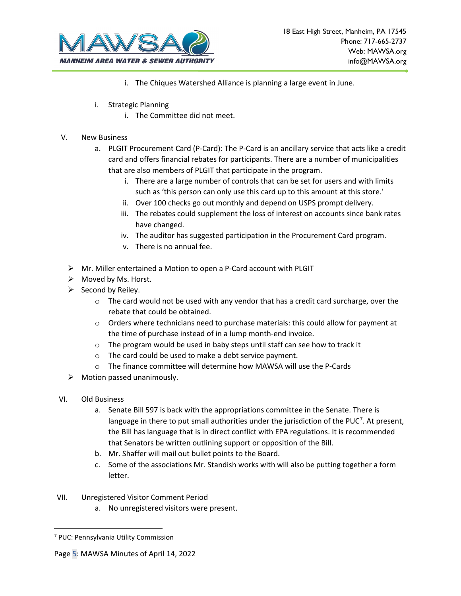

- i. The Chiques Watershed Alliance is planning a large event in June.
- i. Strategic Planning
	- i. The Committee did not meet.
- V. New Business
	- a. PLGIT Procurement Card (P-Card): The P-Card is an ancillary service that acts like a credit card and offers financial rebates for participants. There are a number of municipalities that are also members of PLGIT that participate in the program.
		- i. There are a large number of controls that can be set for users and with limits such as 'this person can only use this card up to this amount at this store.'
		- ii. Over 100 checks go out monthly and depend on USPS prompt delivery.
		- iii. The rebates could supplement the loss of interest on accounts since bank rates have changed.
		- iv. The auditor has suggested participation in the Procurement Card program.
		- v. There is no annual fee.
	- Mr. Miller entertained a Motion to open a P-Card account with PLGIT
	- $\triangleright$  Moved by Ms. Horst.
	- $\triangleright$  Second by Reiley.
		- $\circ$  The card would not be used with any vendor that has a credit card surcharge, over the rebate that could be obtained.
		- o Orders where technicians need to purchase materials: this could allow for payment at the time of purchase instead of in a lump month-end invoice.
		- o The program would be used in baby steps until staff can see how to track it
		- o The card could be used to make a debt service payment.
		- o The finance committee will determine how MAWSA will use the P-Cards
	- $\triangleright$  Motion passed unanimously.
- VI. Old Business
	- a. Senate Bill 597 is back with the appropriations committee in the Senate. There is language in there to put small authorities under the jurisdiction of the PUC<sup>[7](#page-21-0)</sup>. At present, the Bill has language that is in direct conflict with EPA regulations. It is recommended that Senators be written outlining support or opposition of the Bill.
	- b. Mr. Shaffer will mail out bullet points to the Board.
	- c. Some of the associations Mr. Standish works with will also be putting together a form letter.
- VII. Unregistered Visitor Comment Period
	- a. No unregistered visitors were present.

<span id="page-21-0"></span><sup>7</sup> PUC: Pennsylvania Utility Commission